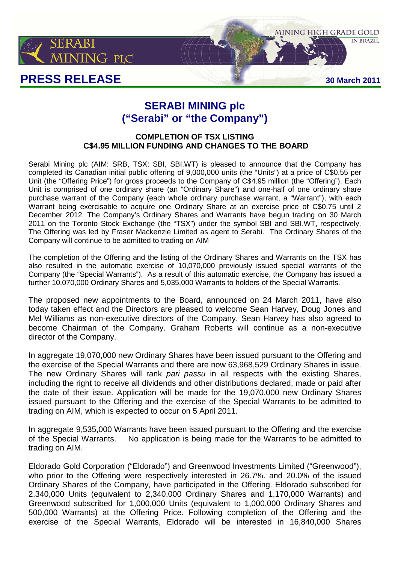

# **PRESS RELEASE 30 March 2011**

**IN BRAZIL** 

**MINING HIGH GRADE GOLD** 

## **SERABI MINING plc ("Serabi" or "the Company")**

### **COMPLETION OF TSX LISTING C\$4.95 MILLION FUNDING AND CHANGES TO THE BOARD**

Serabi Mining plc (AIM: SRB, TSX: SBI, SBI.WT) is pleased to announce that the Company has completed its Canadian initial public offering of 9,000,000 units (the "Units") at a price of C\$0.55 per Unit (the "Offering Price") for gross proceeds to the Company of C\$4.95 million (the "Offering"). Each Unit is comprised of one ordinary share (an "Ordinary Share") and one-half of one ordinary share purchase warrant of the Company (each whole ordinary purchase warrant, a "Warrant"), with each Warrant being exercisable to acquire one Ordinary Share at an exercise price of C\$0.75 until 2 December 2012. The Company's Ordinary Shares and Warrants have begun trading on 30 March 2011 on the Toronto Stock Exchange (the "TSX") under the symbol SBI and SBI.WT, respectively. The Offering was led by Fraser Mackenzie Limited as agent to Serabi. The Ordinary Shares of the Company will continue to be admitted to trading on AIM

The completion of the Offering and the listing of the Ordinary Shares and Warrants on the TSX has also resulted in the automatic exercise of 10,070,000 previously issued special warrants of the Company (the "Special Warrants"). As a result of this automatic exercise, the Company has issued a further 10,070,000 Ordinary Shares and 5,035,000 Warrants to holders of the Special Warrants.

The proposed new appointments to the Board, announced on 24 March 2011, have also today taken effect and the Directors are pleased to welcome Sean Harvey, Doug Jones and Mel Williams as non-executive directors of the Company. Sean Harvey has also agreed to become Chairman of the Company. Graham Roberts will continue as a non-executive director of the Company.

In aggregate 19,070,000 new Ordinary Shares have been issued pursuant to the Offering and the exercise of the Special Warrants and there are now 63,968,529 Ordinary Shares in issue. The new Ordinary Shares will rank pari passu in all respects with the existing Shares, including the right to receive all dividends and other distributions declared, made or paid after the date of their issue. Application will be made for the 19,070,000 new Ordinary Shares issued pursuant to the Offering and the exercise of the Special Warrants to be admitted to trading on AIM, which is expected to occur on 5 April 2011.

In aggregate 9,535,000 Warrants have been issued pursuant to the Offering and the exercise of the Special Warrants. No application is being made for the Warrants to be admitted to trading on AIM.

Eldorado Gold Corporation ("Eldorado") and Greenwood Investments Limited ("Greenwood"), who prior to the Offering were respectively interested in 26.7%. and 20.0% of the issued Ordinary Shares of the Company, have participated in the Offering. Eldorado subscribed for 2,340,000 Units (equivalent to 2,340,000 Ordinary Shares and 1,170,000 Warrants) and Greenwood subscribed for 1,000,000 Units (equivalent to 1,000,000 Ordinary Shares and 500,000 Warrants) at the Offering Price. Following completion of the Offering and the exercise of the Special Warrants, Eldorado will be interested in 16,840,000 Shares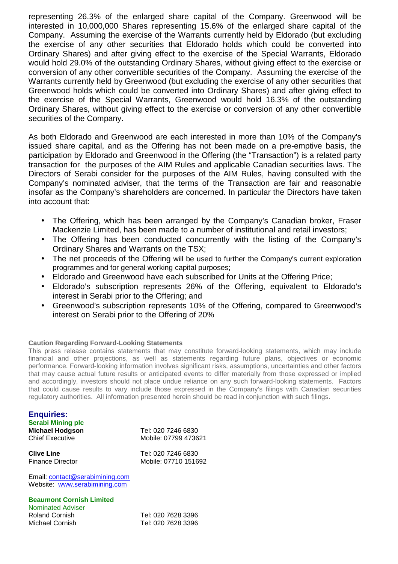representing 26.3% of the enlarged share capital of the Company. Greenwood will be interested in 10,000,000 Shares representing 15.6% of the enlarged share capital of the Company. Assuming the exercise of the Warrants currently held by Eldorado (but excluding the exercise of any other securities that Eldorado holds which could be converted into Ordinary Shares) and after giving effect to the exercise of the Special Warrants, Eldorado would hold 29.0% of the outstanding Ordinary Shares, without giving effect to the exercise or conversion of any other convertible securities of the Company. Assuming the exercise of the Warrants currently held by Greenwood (but excluding the exercise of any other securities that Greenwood holds which could be converted into Ordinary Shares) and after giving effect to the exercise of the Special Warrants, Greenwood would hold 16.3% of the outstanding Ordinary Shares, without giving effect to the exercise or conversion of any other convertible securities of the Company.

As both Eldorado and Greenwood are each interested in more than 10% of the Company's issued share capital, and as the Offering has not been made on a pre-emptive basis, the participation by Eldorado and Greenwood in the Offering (the "Transaction") is a related party transaction for the purposes of the AIM Rules and applicable Canadian securities laws. The Directors of Serabi consider for the purposes of the AIM Rules, having consulted with the Company's nominated adviser, that the terms of the Transaction are fair and reasonable insofar as the Company's shareholders are concerned. In particular the Directors have taken into account that:

- The Offering, which has been arranged by the Company's Canadian broker, Fraser Mackenzie Limited, has been made to a number of institutional and retail investors;
- The Offering has been conducted concurrently with the listing of the Company's Ordinary Shares and Warrants on the TSX;
- The net proceeds of the Offering will be used to further the Company's current exploration programmes and for general working capital purposes;
- Eldorado and Greenwood have each subscribed for Units at the Offering Price;
- Eldorado's subscription represents 26% of the Offering, equivalent to Eldorado's interest in Serabi prior to the Offering; and
- Greenwood's subscription represents 10% of the Offering, compared to Greenwood's interest on Serabi prior to the Offering of 20%

#### **Caution Regarding Forward-Looking Statements**

This press release contains statements that may constitute forward-looking statements, which may include financial and other projections, as well as statements regarding future plans, objectives or economic performance. Forward-looking information involves significant risks, assumptions, uncertainties and other factors that may cause actual future results or anticipated events to differ materially from those expressed or implied and accordingly, investors should not place undue reliance on any such forward-looking statements. Factors that could cause results to vary include those expressed in the Company's filings with Canadian securities regulatory authorities. All information presented herein should be read in conjunction with such filings.

#### **Enquiries: Serabi Mining plc Michael Hodgson** Tel: 020 7246 6830 Chief Executive Mobile: 07799 473621

**Clive Line** Tel: 020 7246 6830 Finance Director Mobile: 07710 151692

Email: contact@serabimining.com Website: www.serabimining.com

#### **Beaumont Cornish Limited**

Nominated Adviser Roland Cornish Tel: 020 7628 3396 Michael Cornish Tel: 020 7628 3396